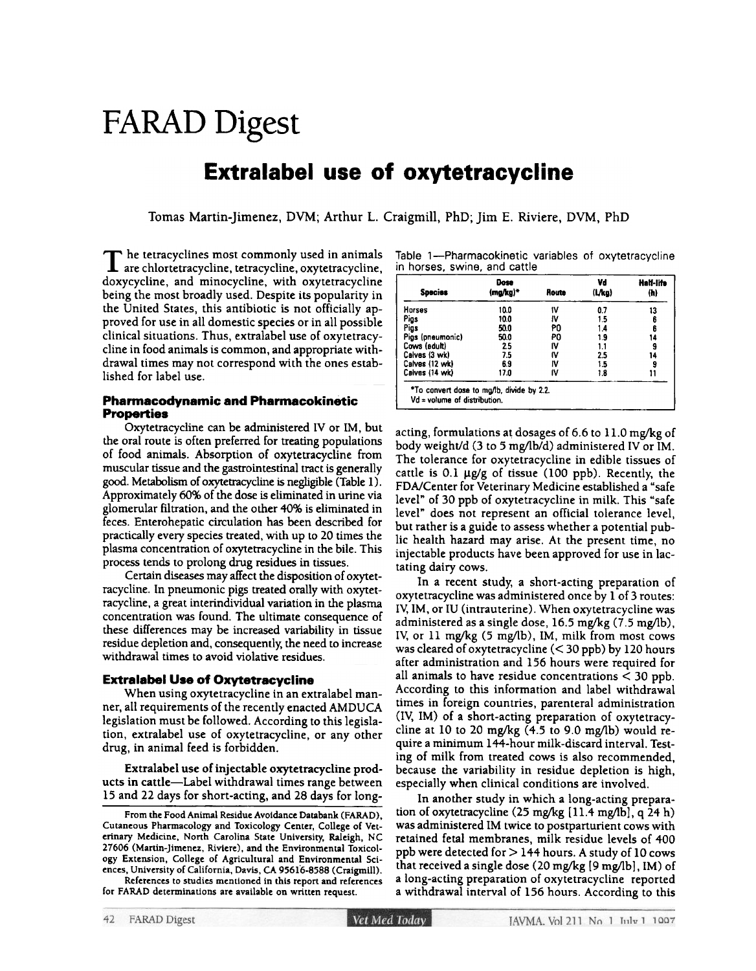# FARAD Digest

# Extralabel use of oxytetracycline

Tomas Martin-jimenez, DVM; Arthur L. Craigmill, PhD; jim E. Riviere, DVM. PhD

 $\mathbf T$  he tetracyclines most commonly used in animal are chlortetracycline, tetracycline, oxytetracyclin doxycycline, and minocycline, with oxytetracycline being the most broadly used. Despite its popularity in the United States, this antibiotic is not officially approved for use in all domestic species or in all possible clinical situations. Thus, extralabel use of oxytetracycline in food animals is common, and appropriate withdrawal times may not correspond with the ones established for label use.

## Pharmacodynamic and Pharmacokinetic Properties

Oxytetracycline can be administered IV or 1M, but the oral route is often preferred for treating populations of food animals. Absorption of oxytetracycline from muscular tissue and the gasttointestinal tract is generally good. Metabolism of oxytetracycline is negligible (Table 1). Approximately 60% of the dose is eliminated in urine via glomerular filtration, and the other 40% is eliminated in feces. Enterohepatic circulation has been described for practically every species treated, with up to 20 times the plasma concentration of oxytetracycline in the bile. This process tends to prolong drug residues in tissues.

Certain diseases may affect the disposition of oxytetracycline. In pneumonic pigs treated orally with oxytetracycline, a great interindividual variation in the plasma concentration was found. The ultimate consequence of these differences may be increased variability in tissue residue depletion and, consequently, the need to increase withdrawal times to avoid violative residues.

## **Extralabel Use of Oxytetracycline**

When using oxytetracycline in an extralabel manner, all requirements of the recently enacted AMDUCA legislation must be followed. According to this legislation, extralabel use of oxytetracycline, or any other drug. in animal feed is forbidden.

Extralabel use of injectable oxytetracycline products in cattle-label withdrawal times range between 15 and 22 days for short-acting. and 28 days for long-

References to studies mentioned in this report and references for FARAD determinations are available on written request.

| Table 1—Pharmacokinetic variables of oxytetracycline |  |  |
|------------------------------------------------------|--|--|
| in horses, swine, and cattle                         |  |  |

| <b>Species</b>   | Dose<br>(mg/kg)* | Route | Vd<br>(L/kg) | Half-life<br>(h) |
|------------------|------------------|-------|--------------|------------------|
| <b>Horses</b>    | 10.0             | ١V    | 0.7          | 13               |
| Pigs             | 10.0             | ł۷    | 15           | 6                |
| Pigs             | 50.0             | P0    | 1.4          | 6                |
| Pigs (pneumonic) | 50.0             | P0    | 1.9          | 14               |
| Cows (adult)     | 2.5              | I۷    | 1.1          | 9                |
| Calves (3 wk)    | 7.5              | ľ۷    | 2.5          | 14               |
| Calves (12 wk)   | 6.9              | ľV    | 1.5          | 9                |
| Calves (14 wk)   | 17.0             | I۷    | 18           |                  |

acting, formulations at dosages of 6.6 to  $11.0$  mg/kg of body weight/d (3 to 5 mg/lb/d) administered IV or  $\overline{\text{IM}}$ . The tolerance for oxytetracycline in edible tissues of cattle is 0.1  $\mu$ g/g of tissue (100 ppb). Recently, the fDA/Center for Veterinary Medicine established a "safe level" of 30 ppb of oxytetracycline in milk. This "safe level" does not represent an official tolerance level, but rather is a guide to assess whether a potential public health hazard may arise. At the present time, no injectable products have been approved for use in lactating dairy cows.

In a recent study, a short-acting preparation of oxytetracycline was administered once by 1 of 3 routes: IV, 1M, or IU (intrauterine). When oxytetracycline was administered as a single dose, 16.5 mg/kg (7.5 mg/lb), IV, or 11 mg/kg (5 mg/lb), IM, milk from most cows was cleared of oxytetracycline  $(< 30$  ppb) by 120 hours after administration and 156 hours were required for all animals to have residue concentrations < 30 ppb. According to this information and label withdrawal times in foreign countries, parenteral administration (IV, 1M) of a short-acting preparation of oxytetracycline at 10 to 20 mg/kg  $(4.5 \text{ to } 9.0 \text{ mg/lb})$  would require a minimum 144-hour milk-discard interval. Testing of milk from treated cows is also recommended, because the variability in residue depletion is high, especially when clinical conditions are involved.

In another study in which a long-acting preparation of oxytetracycline  $(25 \text{ mg/kg} [11.4 \text{ mg/lb}]$ , q 24 h) was administered 1M twice to postparturient cows with retained fetal membranes, milk residue levels of 400 ppb were detected for  $>$  144 hours. A study of 10 cows that received a single dose (20 mg/kg [9 mg/lb], IM) of a long-acting preparation of oxytetracycline reported a withdrawal interval of 156 hours. According to this

From the Food Animal Residue Avoidance Databank (FARAD), Cutaneous Pharmacology and Toxicology Center, College of Veterinary Medicine, North Carolina State University, Raleigh, NC 27606 (Martin-jimenez. Riviere). and the Environmental Toxicology Extension, College of Agricultural and Environmental Sciences, University of California, Davis, CA 95616-8588 (Craigmill).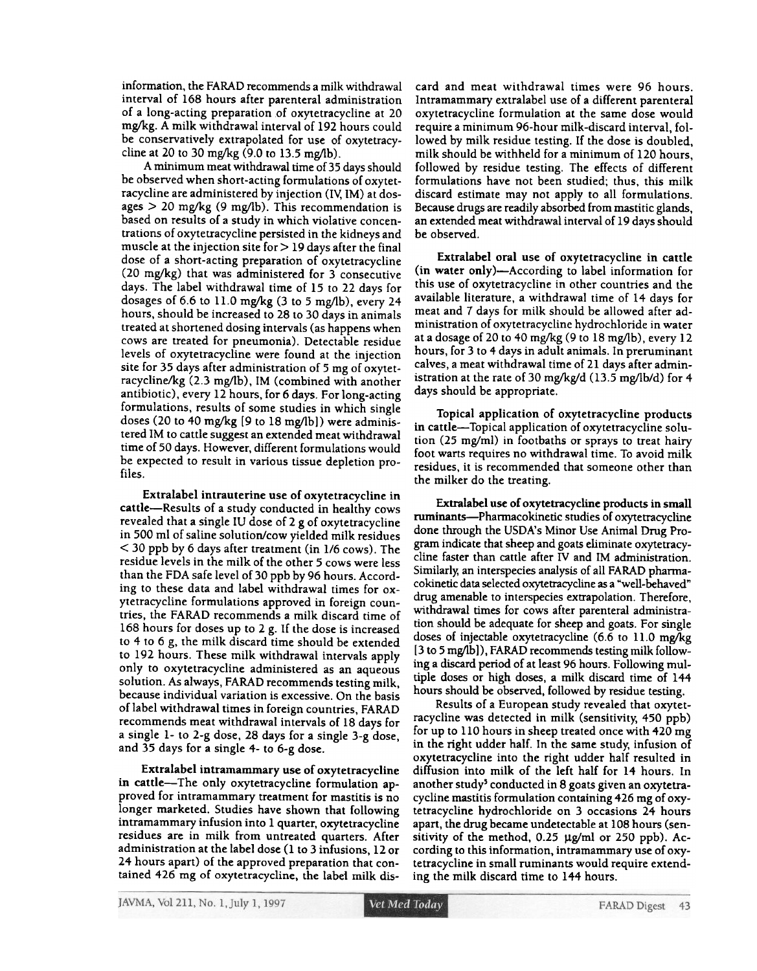information, the FARAD recommends a milk withdrawal interval of 168 hours after parenteral administration of a long-acting preparation of oxytetracycline at 20 mg/kg. A milk withdrawal interval of 192 hours could be conservatively extrapolated for use of oxytetracycline at 20 to 30 mg/kg  $(9.0 \text{ to } 13.5 \text{ mg/lb}).$ 

A minimum meat withdrawal time of 35 days should be observed when short-acting formulations of oxytetracycline are administered by injection (IV; 1M) at dosages  $> 20$  mg/kg (9 mg/lb). This recommendation is based on results of a study in which violative concentrations of oxytetracycline persisted in the kidneys and muscle at the injection site for  $>$  19 days after the final dose of a short-acting preparation of oxytetracycline (20 mg/kg) that was administered for 3 consecutive days. The label withdrawal time of 15 to 22 days for dosages of 6.6 to 11.0 mg/kg  $(3$  to 5 mg/lb), every 24 hours, should be increased to 28 to 30 days in animals treated at shortened dosing intervals (as happens when cows are treated for pneumonia). Detectable residue levels of oxytetracycline were found at the injection site for 35 days after administration of 5 mg of oxytetracycline/kg (2.3 mg/lb), IM (combined with another antibiotic), every 12 hours, for 6 days. For long-acting formulations, results of some studies in which single doses (20 to 40 mg/kg [9 to 18 mg/lb) were administered 1M to cattle suggest an extended meat withdrawal time of 50 days. However, different formulations would be expected to result in various tissue depletion profiles.

ExtraIabel intrauterine use of oxytetracycline in cattle-Results of a study conducted in healthy cows revealed that a single lU dose of 2 g of oxytetracycline in 500 ml of saline solution/cow yielded milk residues  $<$  30 ppb by 6 days after treatment (in 1/6 cows). The residue levels in the milk of the other 5 cows were less than the FDA safe level of 30 ppb by 96 hours. According to these data and label withdrawal times for oxytetracycline formulations approved in foreign countries, the FARAD recommends a milk discard time of 168 hours for doses up to 2 g. If the dose is increased to 4 to 6 g, the milk discard time should be extended to 192 hours. These milk withdrawal intervals apply only to oxytetracycline administered as an aqueous solution. As always, FARAD recommends testing milk, because individual variation is excessive. On the basis of label withdrawal times in foreign countries, FARAD recommends meat withdrawal intervals of 18 days for a single 1- to 2-g dose, 28 days for a single 3-g dose, and 35 days for a single 4- to 6-g dose.

Extralabel intramammary use of oxytetracycline in cattle-The only oxytetracycline formulation approved for intramammary treatment for mastitis is no longer marketed. Studies have shown that following intramammary infusion into 1 quarter, oxytetracycline residues are in milk from untreated quarters. After administration at the label dose (1 to 3 infusions, 12 or 24 hours apart) of the approved preparation that contained 426 mg of oxytetracycline, the label milk discard and meat withdrawal times were 96 hours. Intramammary extralabel use of a different parenteral oxytetracycline formulation at the same dose would require a minimum 96-hour milk-discard interval, followed by milk residue testing. If the dose is doubled, milk should be withheld for a minimum of 120 hours, followed by residue testing. The effects of different formulations have not been studied; thus, this milk discard estimate may not apply to all formulations. Because drugs are readily absorbed from mastitic glands, an extended meat withdrawal interval of 19 days should be observed.

Extralabel oral use of oxytetracycline in cattle (in water only)-According to label information for this use of oxytetracycline in other countries and the available literature, a withdrawal time of 14 days for meat and 7 days for milk should be allowed after administration of oxytetracycline hydrochloride in water at a dosage of 20 to 40 mg/kg (9 to 18 mg/lb), every 12 hours, for 3 to 4 days in adult animals. In preruminant calves, a meat withdrawal time of 21 days after administration at the rate of 30 mg/kg/d  $(13.5 \text{ mg/lb/d})$  for 4 days should be appropriate.

Topical application of oxytetracycline products in cattle-Topical application of oxytetracycline solution (25 mg/ml) in footbaths or sprays to treat hairy foot warts requires no withdrawal time. To avoid milk residues, it is recommended that someone other than the milker do the treating.

Extralabel use of oxytetracycline products in small ruminants-Pharmacokinetic studies of oxytetracycline done through the USDA's Minor Use Animal Drug Pr0 gram indicate that sheep and goats eliminate oxytetracycline faster than cattle after IV and 1M administration. Similarly, an interspecies analysis of all FARAD pharmacokinetic data selected oxytetracycline as a "well-behaved" drug amenable to interspecies extrapolation. Therefore, withdrawal times for cows after parenteral administration should be adequate for sheep and goats. For single doses of injectable oxytetracycline (6.6 to 11.0 mg/kg (3 to 5 mg/lb]), FARAD recommends testing milk following a discard period of at least 96 hours. Following multiple doses or high doses, a milk discard time of 144 hours should be observed, followed by residue testing.

Results of a European study revealed that oxytetracycline was detected in milk (sensitivity, +50 ppb) for up to  $110$  hours in sheep treated once with  $420$  mg in the right udder half. In the same study, infusion of oxytetracycline into the right udder half resulted in diffusion into milk of the left half for 14 hours. In another study' conducted in 8 goats given an oxytetracycline mastitis formulation containing 426 mg of oxytetracycline hydrochloride on 3 occasions 24 hours apart, the drug became undetectable at 108 hours (sensitivity of the method,  $0.25 \mu g/ml$  or 250 ppb). According to this information, intramammary use of oxytetracycline in small ruminants would require extending the milk discard time to 144 hours.